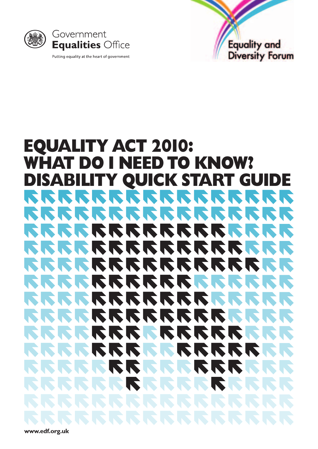



#### **EQUALITY ACT 2010: WHAT DO I NEED TO KNOW? DISABILITY QUICK START GUIDE**  $\mathcal{L}$ RR **IST IST IN K**  $\blacktriangledown$ **IN**  $\sum$  $\sqrt{2}$  $\blacktriangledown$  $\sqrt{2}$ **NKK NO. AND NEW**  $\mathbf{r}$  $\blacktriangledown$  $\sum$ **No.** K.  $\sum$ **NO NO**  $\blacktriangledown$ N  $\blacktriangledown$ KI N. N N.  $\sum$  $\sqrt{2}$ N **KI** N **K** N. N. N N N. N **NO NO**  $\blacksquare$  $\blacktriangleright$  $\blacktriangledown$

**[www.edf.org.uk](http://www.edf.org.uk)**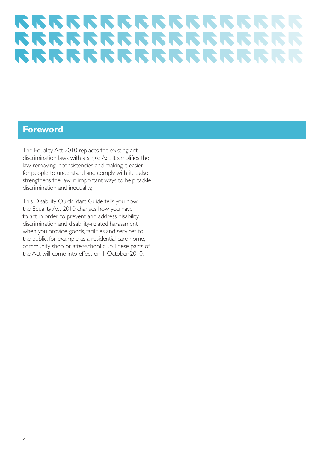### **Foreword**

The Equality Act 2010 replaces the existing antidiscrimination laws with a single Act. It simplifies the law, removing inconsistencies and making it easier for people to understand and comply with it. It also strengthens the law in important ways to help tackle discrimination and inequality,

This Disability Quick Start Guide tells you how the Equality Act 2010 changes how you have to act in order to prevent and address disability discrimination and disability-related harassment when you provide goods, facilities and services to the public, for example as a residential care home, community shop or after-school club.These parts of the Act will come into effect on 1 October 2010.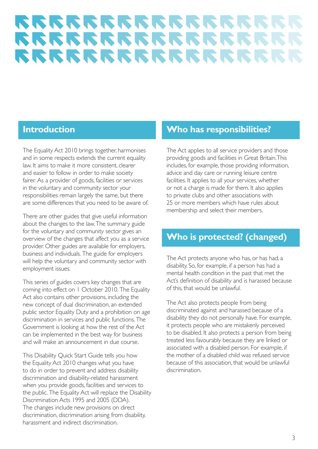## **Introduction**

The Equality Act 2010 brings together, harmonises and in some respects extends the current equality law. It aims to make it more consistent, clearer and easier to follow in order to make society fairer. As a provider of goods, facilities or services in the voluntary and community sector your responsibilities remain largely the same, but there are some differences that you need to be aware of.

There are other guides that give useful information about the changes to the law.The summary guide for the voluntary and community sector gives an overview of the changes that affect you as a service provider. Other guides are available for employers, business and individuals. The guide for employers will help the voluntary and community sector with employment issues.

This series of guides covers key changes that are coming into effect on 1 October 2010. The Equality Act also contains other provisions, including the new concept of dual discrimination, an extended public sector Equality Duty and a prohibition on age discrimination in services and public functions. The Government is looking at how the rest of the Act can be implemented in the best way for business and will make an announcement in due course.

This Disability Quick Start Guide tells you how the Equality Act 2010 changes what you have to do in order to prevent and address disability discrimination and disability-related harassment when you provide goods, facilities and services to the public. The Equality Act will replace the Disability Discrimination Acts 1995 and 2005 (DDA). The changes include new provisions on direct discrimination, discrimination arising from disability, harassment and indirect discrimination.

## **Who has responsibilities?**

The Act applies to all service providers and those providing goods and facilities in Great Britain.This includes, for example, those providing information, advice and day care or running leisure centre facilities. It applies to all your services, whether or not a charge is made for them. It also applies to private clubs and other associations with 25 or more members which have rules about membership and select their members.

### **Who is protected? (changed)**

The Act protects anyone who has, or has had, a disability. So, for example, if a person has had a mental health condition in the past that met the Act's definition of disability and is harassed because of this, that would be unlawful.

The Act also protects people from being discriminated against and harassed because of a disability they do not personally have. For example, it protects people who are mistakenly perceived to be disabled. It also protects a person from being treated less favourably because they are linked or associated with a disabled person. For example, if the mother of a disabled child was refused service because of this association, that would be unlawful discrimination.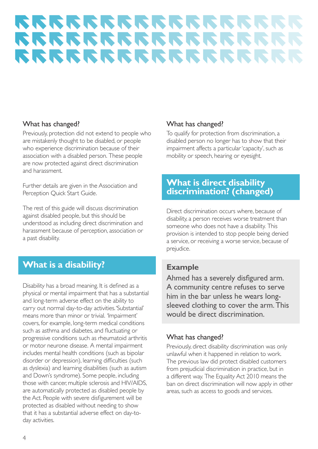#### What has changed?

Previously, protection did not extend to people who are mistakenly thought to be disabled, or people who experience discrimination because of their association with a disabled person. These people are now protected against direct discrimination and harassment.

Further details are given in the Association and Perception Quick Start Guide.

The rest of this guide will discuss discrimination against disabled people, but this should be understood as including direct discrimination and harassment because of perception, association or a past disability.

## **What is a disability?**

Disability has a broad meaning. It is defined as a physical or mental impairment that has a substantial and long-term adverse effect on the ability to carry out normal day-to-day activities.'Substantial' means more than minor or trivial. 'Impairment' covers, for example, long-term medical conditions such as asthma and diabetes, and fluctuating or progressive conditions such as rheumatoid arthritis or motor neurone disease. A mental impairment includes mental health conditions (such as bipolar disorder or depression), learning difficulties (such as dyslexia) and learning disabilities (such as autism and Down's syndrome). Some people, including those with cancer, multiple sclerosis and HIV/AIDS, are automatically protected as disabled people by the Act. People with severe disfigurement will be protected as disabled without needing to show that it has a substantial adverse effect on day-today activities.

#### What has changed?

To qualify for protection from discrimination, a disabled person no longer has to show that their impairment affects a particular 'capacity', such as mobility or speech, hearing or eyesight.

### **What is direct disability discrimination? (changed)**

Direct discrimination occurs where, because of disability, a person receives worse treatment than someone who does not have a disability. This provision is intended to stop people being denied a service, or receiving a worse service, because of prejudice.

#### **Example**

Ahmed has a severely disfigured arm. A community centre refuses to serve him in the bar unless he wears longsleeved clothing to cover the arm.This would be direct discrimination.

#### What has changed?

Previously, direct disability discrimination was only unlawful when it happened in relation to work. The previous law did protect disabled customers from prejudicial discrimination in practice, but in a different way. The Equality Act 2010 means the ban on direct discrimination will now apply in other areas, such as access to goods and services.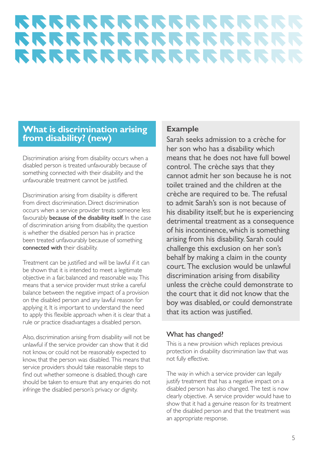### **What is discrimination arising from disability? (new)**

Discrimination arising from disability occurs when a disabled person is treated unfavourably because of something connected with their disability and the unfavourable treatment cannot be justified.

Discrimination arising from disability is different from direct discrimination. Direct discrimination occurs when a service provider treats someone less favourably **because of the disability itself.** In the case of discrimination arising from disability, the question is whether the disabled person has in practice been treated unfavourably because of something connected with their disability.

Treatment can be justified and will be lawful if it can be shown that it is intended to meet a legitimate objective in a fair, balanced and reasonable way. This means that a service provider must strike a careful balance between the negative impact of a provision on the disabled person and any lawful reason for applying it. It is important to understand the need to apply this flexible approach when it is clear that a rule or practice disadvantages a disabled person.

Also, discrimination arising from disability will not be unlawful if the service provider can show that it did not know, or could not be reasonably expected to know, that the person was disabled. This means that service providers should take reasonable steps to find out whether someone is disabled, though care should be taken to ensure that any enquiries do not infringe the disabled person's privacy or dignity.

#### **Example**

Sarah seeks admission to a crèche for her son who has a disability which means that he does not have full bowel control. The crèche says that they cannot admit her son because he is not toilet trained and the children at the crèche are required to be. The refusal to admit Sarah's son is not because of his disability itself; but he is experiencing detrimental treatment as a consequence of his incontinence, which is something arising from his disability. Sarah could challenge this exclusion on her son's behalf by making a claim in the county court. The exclusion would be unlawful discrimination arising from disability unless the crèche could demonstrate to the court that it did not know that the boy was disabled, or could demonstrate that its action was justified.

#### What has changed?

This is a new provision which replaces previous protection in disability discrimination law that was not fully effective.

The way in which a service provider can legally justify treatment that has a negative impact on a disabled person has also changed. The test is now clearly objective. A service provider would have to show that it had a genuine reason for its treatment of the disabled person and that the treatment was an appropriate response.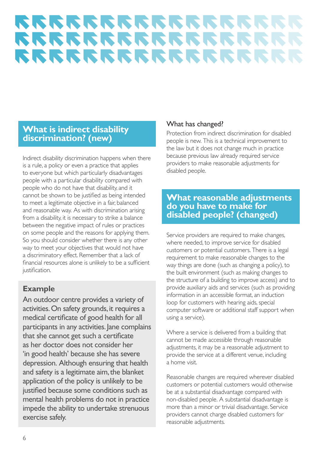### **What is indirect disability discrimination? (new)**

Indirect disability discrimination happens when there is a rule, a policy or even a practice that applies to everyone but which particularly disadvantages people with a particular disability compared with people who do not have that disability, and it cannot be shown to be justified as being intended to meet a legitimate objective in a fair, balanced and reasonable way. As with discrimination arising from a disability, it is necessary to strike a balance between the negative impact of rules or practices on some people and the reasons for applying them. So you should consider whether there is any other way to meet your objectives that would not have a discriminatory effect. Remember that a lack of financial resources alone is unlikely to be a sufficient justification.

### **Example**

An outdoor centre provides a variety of activities. On safety grounds, it requires a medical certificate of good health for all participants in any activities. Jane complains that she cannot get such a certificate as her doctor does not consider her 'in good health' because she has severe depression. Although ensuring that health and safety is a legitimate aim, the blanket application of the policy is unlikely to be justified because some conditions such as mental health problems do not in practice impede the ability to undertake strenuous exercise safely.

#### What has changed?

Protection from indirect discrimination for disabled people is new. This is a technical improvement to the law but it does not change much in practice because previous law already required service providers to make reasonable adjustments for disabled people.

### **What reasonable adjustments do you have to make for disabled people? (changed)**

Service providers are required to make changes, where needed, to improve service for disabled customers or potential customers. There is a legal requirement to make reasonable changes to the way things are done (such as changing a policy), to the built environment (such as making changes to the structure of a building to improve access) and to provide auxiliary aids and services (such as providing information in an accessible format, an induction loop for customers with hearing aids, special computer software or additional staff support when using a service).

Where a service is delivered from a building that cannot be made accessible through reasonable adjustments, it may be a reasonable adjustment to provide the service at a different venue, including a home visit.

Reasonable changes are required wherever disabled customers or potential customers would otherwise be at a substantial disadvantage compared with non-disabled people. A substantial disadvantage is more than a minor or trivial disadvantage. Service providers cannot charge disabled customers for reasonable adjustments.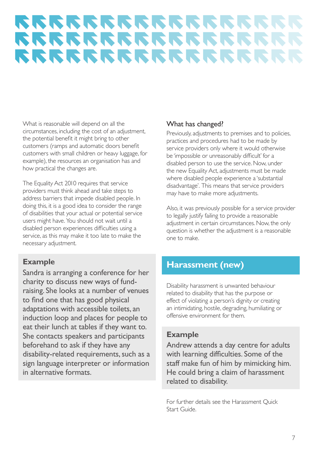What is reasonable will depend on all the circumstances, including the cost of an adjustment, the potential benefit it might bring to other customers (ramps and automatic doors benefit customers with small children or heavy luggage, for example), the resources an organisation has and how practical the changes are.

The Equality Act 2010 requires that service providers must think ahead and take steps to address barriers that impede disabled people. In doing this, it is a good idea to consider the range of disabilities that your actual or potential service users might have. You should not wait until a disabled person experiences difficulties using a service, as this may make it too late to make the necessary adjustment.

### **Example**

Sandra is arranging a conference for her charity to discuss new ways of fundraising. She looks at a number of venues to find one that has good physical adaptations with accessible toilets, an induction loop and places for people to eat their lunch at tables if they want to. She contacts speakers and participants beforehand to ask if they have any disability-related requirements, such as a sign language interpreter or information in alternative formats.

#### What has changed?

Previously, adjustments to premises and to policies, practices and procedures had to be made by service providers only where it would otherwise be 'impossible or unreasonably difficult' for a disabled person to use the service. Now, under the new Equality Act, adjustments must be made where disabled people experience a 'substantial disadvantage'. This means that service providers may have to make more adjustments.

Also, it was previously possible for a service provider to legally justify failing to provide a reasonable adjustment in certain circumstances. Now, the only question is whether the adjustment is a reasonable one to make.

### **Harassment (new)**

Disability harassment is unwanted behaviour related to disability that has the purpose or effect of violating a person's dignity or creating an intimidating, hostile, degrading, humiliating or offensive environment for them.

### **Example**

Andrew attends a day centre for adults with learning difficulties. Some of the staff make fun of him by mimicking him. He could bring a claim of harassment related to disability.

For further details see the Harassment Quick Start Guide.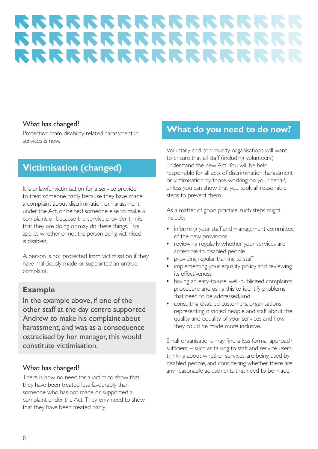#### What has changed?

Protection from disability-related harassment in services is new.

## **Victimisation (changed)**

It is unlawful victimisation for a service provider to treat someone badly because they have made a complaint about discrimination or harassment under the Act, or helped someone else to make a complaint, or because the service provider thinks that they are doing or may do these things. This applies whether or not the person being victimised is disabled.

A person is not protected from victimisation if they have maliciously made or supported an untrue complaint.

#### **Example**

In the example above, if one of the other staff at the day centre supported Andrew to make his complaint about harassment, and was as a consequence ostracised by her manager, this would constitute victimisation.

#### What has changed?

There is now no need for a victim to show that they have been treated less favourably than someone who has not made or supported a complaint under the Act. They only need to show that they have been treated badly.

## **What do you need to do now?**

Voluntary and community organisations will want to ensure that all staff (including volunteers) understand the new Act. You will be held responsible for all acts of discrimination, harassment or victimisation by those working on your behalf, unless you can show that you took all reasonable steps to prevent them.

As a matter of good practice, such steps might include:

- **•** informing your staff and management committee of the new provisions
- **•** reviewing regularly whether your services are accessible to disabled people
- **•** providing regular training to staff
- **•** implementing your equality policy and reviewing its effectiveness
- **•** having an easy-to-use, well-publicised complaints procedure and using this to identify problems that need to be addressed, and
- **•** consulting disabled customers, organisations representing disabled people and staff about the quality and equality of your services and how they could be made more inclusive.

Small organisations may find a less formal approach sufficient – such as talking to staff and service users, thinking about whether services are being used by disabled people, and considering whether there are any reasonable adjustments that need to be made.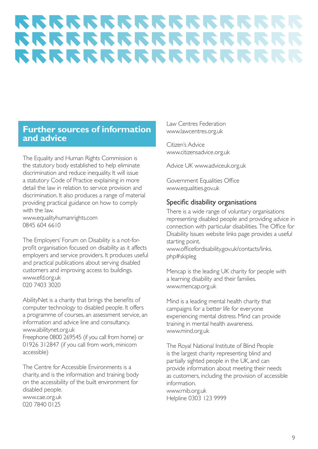### **Further sources of information and advice**

The Equality and Human Rights Commission is the statutory body established to help eliminate discrimination and reduce inequality. It will issue a statutory Code of Practice explaining in more detail the law in relation to service provision and discrimination. It also produces a range of material providing practical guidance on how to comply with the law.

[www.equalityhumanrights.com](http://www.equalityhumanrights.com)  0845 604 6610

The Employers' Forum on Disability is a not-forprofit organisation focused on disability as it affects employers and service providers. It produces useful and practical publications about serving disabled customers and improving access to buildings. [www.efd.org.uk](http://www.efd.org.uk)  020 7403 3020

AbilityNet is a charity that brings the benefits of computer technology to disabled people. It offers a programme of courses, an assessment service, an information and advice line and consultancy. [www.abilitynet.org.uk](http://www.abilitynet.org.uk) 

Freephone 0800 269545 (if you call from home) or 01926 312847 (if you call from work, minicom accessible)

The Centre for Accessible Environments is a charity, and is the information and training body on the accessibility of the built environment for disabled people. [www.cae.org.uk](http://www.cae.org.uk)  020 7840 0125

Law Centres Federation [www.lawcentres.org.uk](http://www.lawcentres.org.uk) 

Citizen's Advice [www.citizensadvice.org.uk](http://www.citizensadvice.org.uk) 

Advice UK [www.adviceuk.org.uk](http://www.adviceuk.org.uk) 

Government Equalities Office [www.equalities.gov.uk](http://www.equalities.gov.uk) 

#### Specific disability organisations

There is a wide range of voluntary organisations representing disabled people and providing advice in connection with particular disabilities. The Office for Disability Issues website links page provides a useful starting point. [www.officefordisability.gov.uk/contacts/links.](http://www.officefordisability.gov.uk/contacts/links.php#skipleg) 

php#skipleg

Mencap is the leading UK charity for people with a learning disability and their families. [www.mencap.org.uk](http://www.mencap.org.uk) 

Mind is a leading mental health charity that campaigns for a better life for everyone experiencing mental distress. Mind can provide training in mental health awareness. [www.mind.org.uk](http://www.mind.org.uk) 

The Royal National Institute of Blind People is the largest charity representing blind and partially sighted people in the UK, and can provide information about meeting their needs as customers, including the provision of accessible information. [www.rnib.org.uk](http://www.rnib.org.uk)  Helpline 0303 123 9999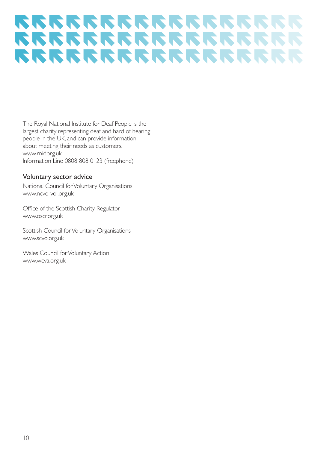The Royal National Institute for Deaf People is the largest charity representing deaf and hard of hearing people in the UK, and can provide information about meeting their needs as customers. [www.rnidorg.uk](http://www.rnidorg.uk)  Information Line 0808 808 0123 (freephone)

#### Voluntary sector advice

National Council forVoluntary Organisations [www.ncvo-vol.org.uk](http://www.ncvo-vol.org.uk) 

Office of the Scottish Charity Regulator [www.oscr.org.uk](http://www.oscr.org.uk) 

Scottish Council forVoluntary Organisations [www.scvo.org.uk](http://www.scvo.org.uk) 

Wales Council for Voluntary Action [www.wcva.org.uk](http://www.wcva.org.uk)